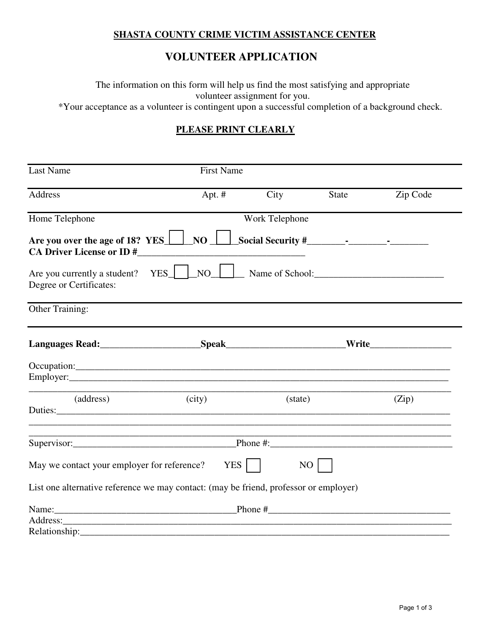## **SHASTA COUNTY CRIME VICTIM ASSISTANCE CENTER**

## **VOLUNTEER APPLICATION**

The information on this form will help us find the most satisfying and appropriate volunteer assignment for you.

\*Your acceptance as a volunteer is contingent upon a successful completion of a background check.

## **PLEASE PRINT CLEARLY**

| Last Name                                                                                       | <b>First Name</b> |         |              |                                                             |  |  |  |  |  |  |
|-------------------------------------------------------------------------------------------------|-------------------|---------|--------------|-------------------------------------------------------------|--|--|--|--|--|--|
| Address                                                                                         | Apt. $#$          | City    | <b>State</b> | Zip Code                                                    |  |  |  |  |  |  |
| Home Telephone                                                                                  | Work Telephone    |         |              |                                                             |  |  |  |  |  |  |
| Are you over the age of 18? YES $\Box$ NO $\Box$ Social Security #<br>CA Driver License or ID # |                   |         |              |                                                             |  |  |  |  |  |  |
| Are you currently a student? YES NO No Name of School:<br>Degree or Certificates:               |                   |         |              |                                                             |  |  |  |  |  |  |
| Other Training:                                                                                 |                   |         |              |                                                             |  |  |  |  |  |  |
|                                                                                                 |                   |         |              |                                                             |  |  |  |  |  |  |
|                                                                                                 |                   |         |              |                                                             |  |  |  |  |  |  |
| (address)                                                                                       | (city)            | (state) |              | (Zip)                                                       |  |  |  |  |  |  |
|                                                                                                 |                   |         |              | <u> 1989 - Johann Stoff, amerikansk politiker (d. 1989)</u> |  |  |  |  |  |  |
| May we contact your employer for reference? YES                                                 |                   |         | NO           |                                                             |  |  |  |  |  |  |
| List one alternative reference we may contact: (may be friend, professor or employer)           |                   |         |              |                                                             |  |  |  |  |  |  |
|                                                                                                 |                   |         |              |                                                             |  |  |  |  |  |  |
|                                                                                                 |                   |         |              |                                                             |  |  |  |  |  |  |
|                                                                                                 |                   |         |              |                                                             |  |  |  |  |  |  |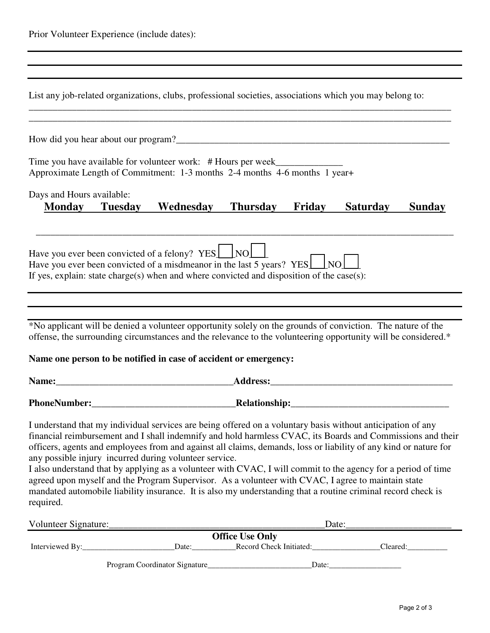| Prior Volunteer Experience (include dates): |  |
|---------------------------------------------|--|
|---------------------------------------------|--|

| List any job-related organizations, clubs, professional societies, associations which you may belong to:                                                                                                                                                                                                                                                                                                                                                                                                                                                                                                                                                                                                                                                    |           |                                                   |        |                 |               |
|-------------------------------------------------------------------------------------------------------------------------------------------------------------------------------------------------------------------------------------------------------------------------------------------------------------------------------------------------------------------------------------------------------------------------------------------------------------------------------------------------------------------------------------------------------------------------------------------------------------------------------------------------------------------------------------------------------------------------------------------------------------|-----------|---------------------------------------------------|--------|-----------------|---------------|
|                                                                                                                                                                                                                                                                                                                                                                                                                                                                                                                                                                                                                                                                                                                                                             |           |                                                   |        |                 |               |
| Time you have available for volunteer work: # Hours per week_____________________<br>Approximate Length of Commitment: 1-3 months 2-4 months 4-6 months 1 year+                                                                                                                                                                                                                                                                                                                                                                                                                                                                                                                                                                                             |           |                                                   |        |                 |               |
| Days and Hours available:<br><b>Monday</b> Tuesday                                                                                                                                                                                                                                                                                                                                                                                                                                                                                                                                                                                                                                                                                                          | Wednesday | <b>Thursday</b>                                   | Friday | <b>Saturday</b> | <b>Sunday</b> |
| Have you ever been convicted of a felony? YES NO<br>Have you ever been convicted of a misdmeanor in the last 5 years? YES NO<br>If yes, explain: state charge(s) when and where convicted and disposition of the case(s):                                                                                                                                                                                                                                                                                                                                                                                                                                                                                                                                   |           |                                                   |        |                 |               |
| *No applicant will be denied a volunteer opportunity solely on the grounds of conviction. The nature of the<br>offense, the surrounding circumstances and the relevance to the volunteering opportunity will be considered.*<br>Name one person to be notified in case of accident or emergency:                                                                                                                                                                                                                                                                                                                                                                                                                                                            |           |                                                   |        |                 |               |
|                                                                                                                                                                                                                                                                                                                                                                                                                                                                                                                                                                                                                                                                                                                                                             |           |                                                   |        |                 |               |
|                                                                                                                                                                                                                                                                                                                                                                                                                                                                                                                                                                                                                                                                                                                                                             |           |                                                   |        |                 |               |
| I understand that my individual services are being offered on a voluntary basis without anticipation of any<br>financial reimbursement and I shall indemnify and hold harmless CVAC, its Boards and Commissions and their<br>officers, agents and employees from and against all claims, demands, loss or liability of any kind or nature for<br>any possible injury incurred during volunteer service.<br>I also understand that by applying as a volunteer with CVAC, I will commit to the agency for a period of time<br>agreed upon myself and the Program Supervisor. As a volunteer with CVAC, I agree to maintain state<br>mandated automobile liability insurance. It is also my understanding that a routine criminal record check is<br>required. |           |                                                   |        |                 |               |
| Volunteer Signature:                                                                                                                                                                                                                                                                                                                                                                                                                                                                                                                                                                                                                                                                                                                                        |           |                                                   | Date:  |                 |               |
| Interviewed By:                                                                                                                                                                                                                                                                                                                                                                                                                                                                                                                                                                                                                                                                                                                                             | Date:     | <b>Office Use Only</b><br>Record Check Initiated: |        | Cleared:        |               |

Program Coordinator Signature\_\_\_\_\_\_\_\_\_\_\_\_\_\_\_\_\_\_\_\_\_\_\_\_\_\_Date:\_\_\_\_\_\_\_\_\_\_\_\_\_\_\_\_\_\_